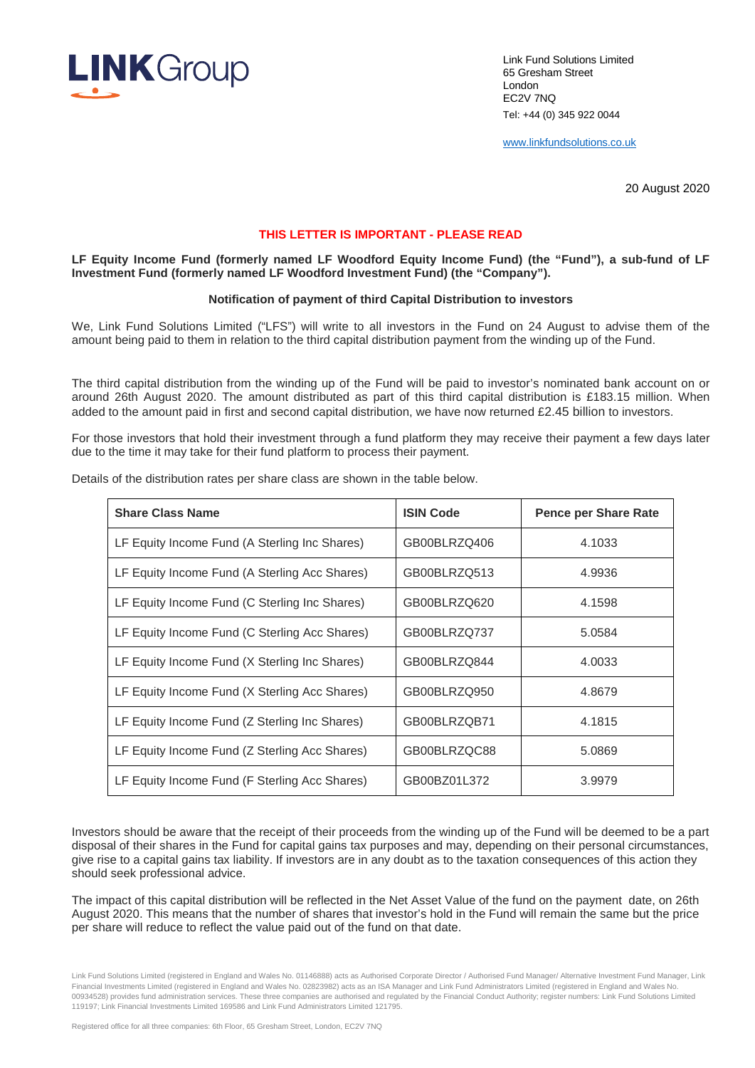

Link Fund Solutions Limited 65 Gresham Street London EC2V 7NQ Tel: +44 (0) 345 922 0044

www.linkfundsolutions.co.uk

20 August 2020

## **THIS LETTER IS IMPORTANT - PLEASE READ**

**LF Equity Income Fund (formerly named LF Woodford Equity Income Fund) (the "Fund"), a sub-fund of LF Investment Fund (formerly named LF Woodford Investment Fund) (the "Company").**

## **Notification of payment of third Capital Distribution to investors**

We, Link Fund Solutions Limited ("LFS") will write to all investors in the Fund on 24 August to advise them of the amount being paid to them in relation to the third capital distribution payment from the winding up of the Fund.

The third capital distribution from the winding up of the Fund will be paid to investor's nominated bank account on or around 26th August 2020. The amount distributed as part of this third capital distribution is £183.15 million. When added to the amount paid in first and second capital distribution, we have now returned £2.45 billion to investors.

For those investors that hold their investment through a fund platform they may receive their payment a few days later due to the time it may take for their fund platform to process their payment.

| <b>Share Class Name</b>                       | <b>ISIN Code</b> | <b>Pence per Share Rate</b> |
|-----------------------------------------------|------------------|-----------------------------|
| LF Equity Income Fund (A Sterling Inc Shares) | GB00BLRZQ406     | 4.1033                      |
| LF Equity Income Fund (A Sterling Acc Shares) | GB00BLRZQ513     | 4.9936                      |
| LF Equity Income Fund (C Sterling Inc Shares) | GB00BLRZQ620     | 4.1598                      |
| LF Equity Income Fund (C Sterling Acc Shares) | GB00BLRZQ737     | 5.0584                      |
| LF Equity Income Fund (X Sterling Inc Shares) | GB00BLRZQ844     | 4.0033                      |
| LF Equity Income Fund (X Sterling Acc Shares) | GB00BLRZQ950     | 4.8679                      |
| LF Equity Income Fund (Z Sterling Inc Shares) | GB00BLRZQB71     | 4.1815                      |
| LF Equity Income Fund (Z Sterling Acc Shares) | GB00BLRZQC88     | 5.0869                      |
| LF Equity Income Fund (F Sterling Acc Shares) | GB00BZ01L372     | 3.9979                      |

Details of the distribution rates per share class are shown in the table below.

Investors should be aware that the receipt of their proceeds from the winding up of the Fund will be deemed to be a part disposal of their shares in the Fund for capital gains tax purposes and may, depending on their personal circumstances, give rise to a capital gains tax liability. If investors are in any doubt as to the taxation consequences of this action they should seek professional advice.

The impact of this capital distribution will be reflected in the Net Asset Value of the fund on the payment date, on 26th August 2020. This means that the number of shares that investor's hold in the Fund will remain the same but the price per share will reduce to reflect the value paid out of the fund on that date.

Link Fund Solutions Limited (registered in England and Wales No. 01146888) acts as Authorised Corporate Director / Authorised Fund Manager/ Alternative Investment Fund Manager, Link Financial Investments Limited (registered in England and Wales No. 02823982) acts as an ISA Manager and Link Fund Administrators Limited (registered in England and Wales No. 00934528) provides fund administration services. These three companies are authorised and regulated by the Financial Conduct Authority; register numbers: Link Fund Solutions Limited 119197; Link Financial Investments Limited 169586 and Link Fund Administrators Limited 121795.